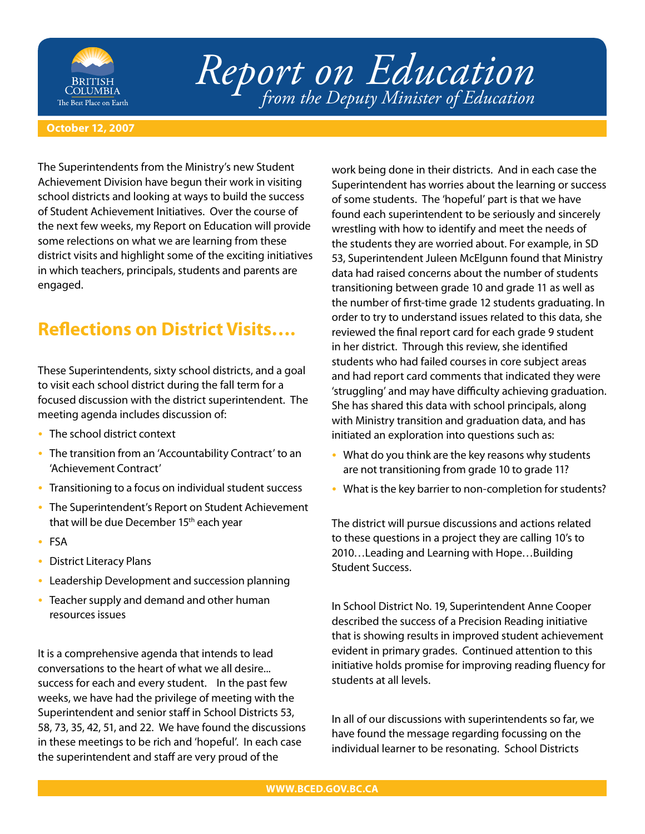

## *Report on Education from the Deputy Minister of Education*

## **October 12, 2007**

The Superintendents from the Ministry's new Student Achievement Division have begun their work in visiting school districts and looking at ways to build the success of Student Achievement Initiatives. Over the course of the next few weeks, my Report on Education will provide some relections on what we are learning from these district visits and highlight some of the exciting initiatives in which teachers, principals, students and parents are engaged.

## **Reflections on District Visits....**

These Superintendents, sixty school districts, and a goal to visit each school district during the fall term for a focused discussion with the district superintendent. The meeting agenda includes discussion of:

- The school district context
- The transition from an 'Accountability Contract' to an 'Achievement Contract'
- Transitioning to a focus on individual student success •
- The Superintendent's Report on Student Achievement that will be due December 15<sup>th</sup> each year
- FSA
- District Literacy Plans
- Leadership Development and succession planning
- Teacher supply and demand and other human resources issues

It is a comprehensive agenda that intends to lead conversations to the heart of what we all desire... success for each and every student. In the past few weeks, we have had the privilege of meeting with the Superintendent and senior staff in School Districts 53, 58, 73, 35, 42, 51, and 22. We have found the discussions in these meetings to be rich and 'hopeful'. In each case the superintendent and staff are very proud of the

work being done in their districts. And in each case the Superintendent has worries about the learning or success of some students. The 'hopeful' part is that we have found each superintendent to be seriously and sincerely wrestling with how to identify and meet the needs of the students they are worried about. For example, in SD 53, Superintendent Juleen McElgunn found that Ministry data had raised concerns about the number of students transitioning between grade 10 and grade 11 as well as the number of first-time grade 12 students graduating. In order to try to understand issues related to this data, she reviewed the final report card for each grade 9 student in her district. Through this review, she identified students who had failed courses in core subject areas and had report card comments that indicated they were 'struggling' and may have difficulty achieving graduation. She has shared this data with school principals, along with Ministry transition and graduation data, and has initiated an exploration into questions such as:

- What do you think are the key reasons why students are not transitioning from grade 10 to grade 11?
- What is the key barrier to non-completion for students?

The district will pursue discussions and actions related to these questions in a project they are calling 10's to 2010…Leading and Learning with Hope…Building Student Success.

In School District No. 19, Superintendent Anne Cooper described the success of a Precision Reading initiative that is showing results in improved student achievement evident in primary grades. Continued attention to this initiative holds promise for improving reading fluency for students at all levels.

In all of our discussions with superintendents so far, we have found the message regarding focussing on the individual learner to be resonating. School Districts